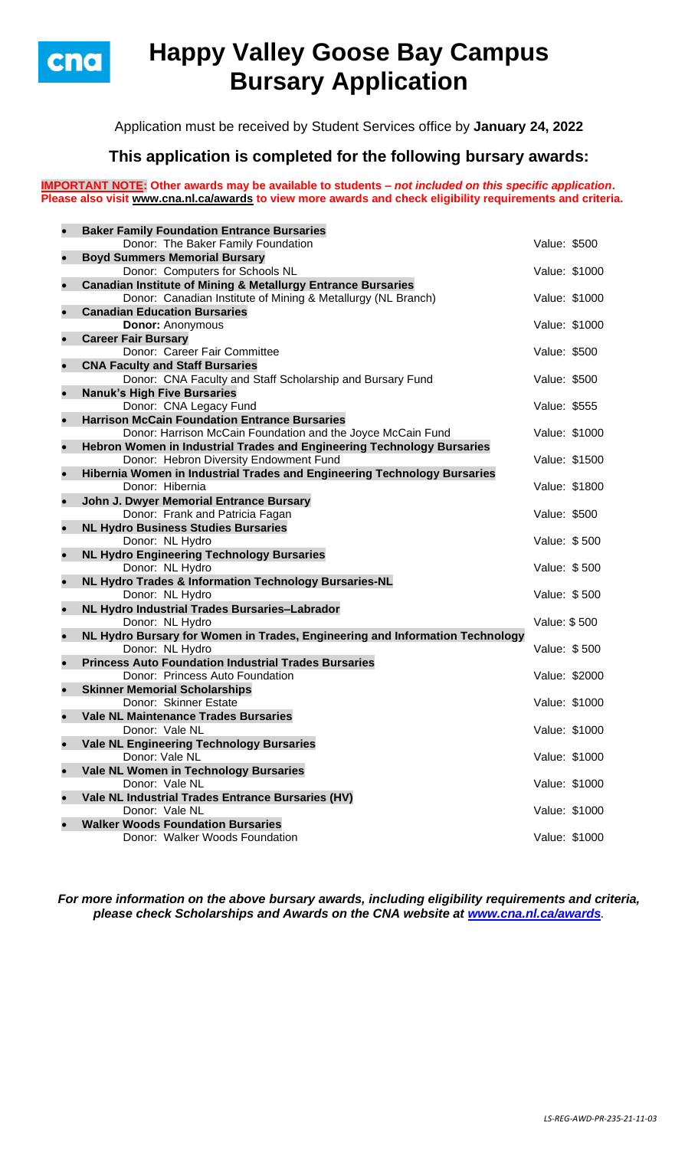

# **Happy Valley Goose Bay Campus Bursary Application**

Application must be received by Student Services office by **January 24, 2022**

## **This application is completed for the following bursary awards:**

**IMPORTANT NOTE: Other awards may be available to students –** *not included on this specific application***. Please also visit [www.cna.nl.ca/awards](http://www.cna.nl.ca/awards) to view more awards and check eligibility requirements and criteria.**

| $\bullet$ | <b>Baker Family Foundation Entrance Bursaries</b>                            |               |  |
|-----------|------------------------------------------------------------------------------|---------------|--|
|           | Donor: The Baker Family Foundation                                           | Value: \$500  |  |
| $\bullet$ | <b>Boyd Summers Memorial Bursary</b>                                         |               |  |
|           | Donor: Computers for Schools NL                                              | Value: \$1000 |  |
| $\bullet$ | <b>Canadian Institute of Mining &amp; Metallurgy Entrance Bursaries</b>      |               |  |
|           | Donor: Canadian Institute of Mining & Metallurgy (NL Branch)                 | Value: \$1000 |  |
| $\bullet$ | <b>Canadian Education Bursaries</b>                                          |               |  |
|           | <b>Donor: Anonymous</b>                                                      | Value: \$1000 |  |
| $\bullet$ | <b>Career Fair Bursary</b>                                                   |               |  |
|           | Donor: Career Fair Committee                                                 | Value: \$500  |  |
| $\bullet$ | <b>CNA Faculty and Staff Bursaries</b>                                       |               |  |
|           | Donor: CNA Faculty and Staff Scholarship and Bursary Fund                    | Value: \$500  |  |
| $\bullet$ | <b>Nanuk's High Five Bursaries</b>                                           |               |  |
|           | Donor: CNA Legacy Fund                                                       | Value: \$555  |  |
| $\bullet$ | <b>Harrison McCain Foundation Entrance Bursaries</b>                         |               |  |
|           | Donor: Harrison McCain Foundation and the Joyce McCain Fund                  | Value: \$1000 |  |
| $\bullet$ | Hebron Women in Industrial Trades and Engineering Technology Bursaries       |               |  |
|           | Donor: Hebron Diversity Endowment Fund                                       | Value: \$1500 |  |
| $\bullet$ | Hibernia Women in Industrial Trades and Engineering Technology Bursaries     |               |  |
|           | Donor: Hibernia                                                              | Value: \$1800 |  |
| $\bullet$ | John J. Dwyer Memorial Entrance Bursary                                      |               |  |
|           | Donor: Frank and Patricia Fagan                                              | Value: \$500  |  |
| $\bullet$ | <b>NL Hydro Business Studies Bursaries</b>                                   |               |  |
|           | Donor: NL Hydro                                                              | Value: \$500  |  |
| $\bullet$ | <b>NL Hydro Engineering Technology Bursaries</b>                             |               |  |
|           | Donor: NL Hydro                                                              | Value: \$500  |  |
| $\bullet$ | NL Hydro Trades & Information Technology Bursaries-NL                        |               |  |
|           | Donor: NL Hydro                                                              | Value: \$500  |  |
| $\bullet$ | NL Hydro Industrial Trades Bursaries-Labrador<br>Donor: NL Hydro             | Value: \$500  |  |
| $\bullet$ | NL Hydro Bursary for Women in Trades, Engineering and Information Technology |               |  |
|           | Donor: NL Hydro                                                              | Value: \$500  |  |
| $\bullet$ | <b>Princess Auto Foundation Industrial Trades Bursaries</b>                  |               |  |
|           | Donor: Princess Auto Foundation                                              | Value: \$2000 |  |
| $\bullet$ | <b>Skinner Memorial Scholarships</b>                                         |               |  |
|           | Donor: Skinner Estate                                                        | Value: \$1000 |  |
| $\bullet$ | <b>Vale NL Maintenance Trades Bursaries</b>                                  |               |  |
|           | Donor: Vale NL                                                               | Value: \$1000 |  |
| $\bullet$ | <b>Vale NL Engineering Technology Bursaries</b>                              |               |  |
|           | Donor: Vale NL                                                               | Value: \$1000 |  |
| $\bullet$ | Vale NL Women in Technology Bursaries                                        |               |  |
|           | Donor: Vale NL                                                               | Value: \$1000 |  |
| $\bullet$ | Vale NL Industrial Trades Entrance Bursaries (HV)                            |               |  |
|           | Donor: Vale NL                                                               | Value: \$1000 |  |
| $\bullet$ | <b>Walker Woods Foundation Bursaries</b>                                     |               |  |
|           | Donor: Walker Woods Foundation                                               | Value: \$1000 |  |
|           |                                                                              |               |  |

*For more information on the above bursary awards, including eligibility requirements and criteria, please check Scholarships and Awards on the CNA website at [www.cna.nl.ca/awards](http://www.cna.nl.ca/awards).*